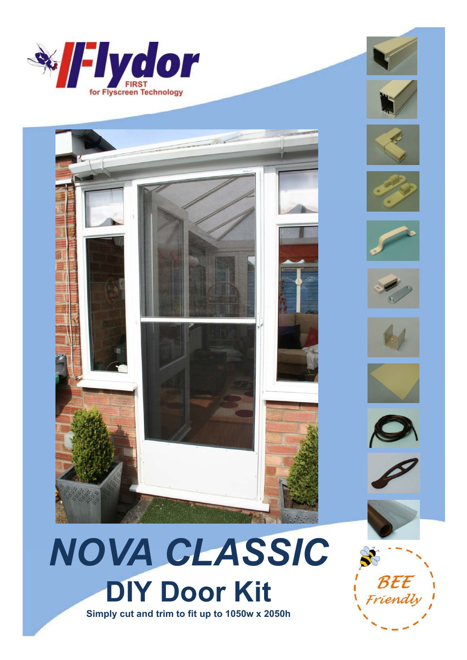





















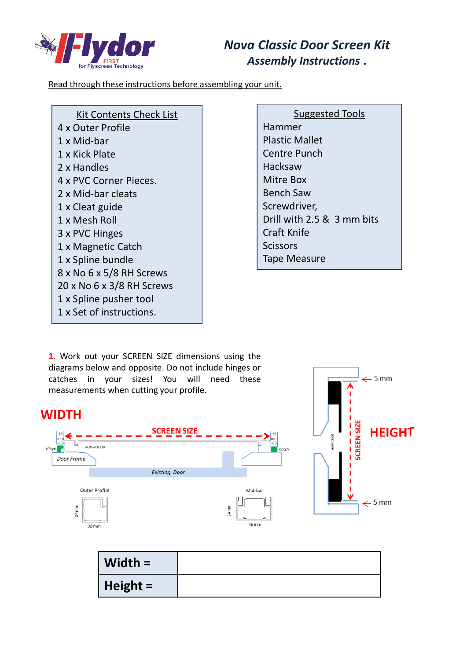

## *Nova Classic Door Screen Kit Assembly Instructions* **.**

Read through these instructions before assembling your unit.

| Kit Contents Check List   |
|---------------------------|
| 4 x Outer Profile         |
| 1 x Mid-bar               |
| 1 x Kick Plate            |
| 2 x Handles               |
| 4 x PVC Corner Pieces.    |
| 2 x Mid-bar cleats        |
| 1 x Cleat guide           |
| 1 x Mesh Roll             |
| 3 x PVC Hinges            |
| 1 x Magnetic Catch        |
| 1 x Spline bundle         |
| 8 x No 6 x 5/8 RH Screws  |
| 20 x No 6 x 3/8 RH Screws |
| 1 x Spline pusher tool    |
| 1 x Set of instructions.  |

Suggested Tools Hammer Plastic Mallet Centre Punch Hacksaw Mitre Box Bench Saw Screwdriver, Drill with 2.5 & 3 mm bits Craft Knife **Scissors** Tape Measure

**1.** Work out your SCREEN SIZE dimensions using the diagrams below and opposite. Do not include hinges or catches in your sizes! You will need these measurements when cutting your profile.

## **WIDTH**





| Width $=$ |  |
|-----------|--|
| Height =  |  |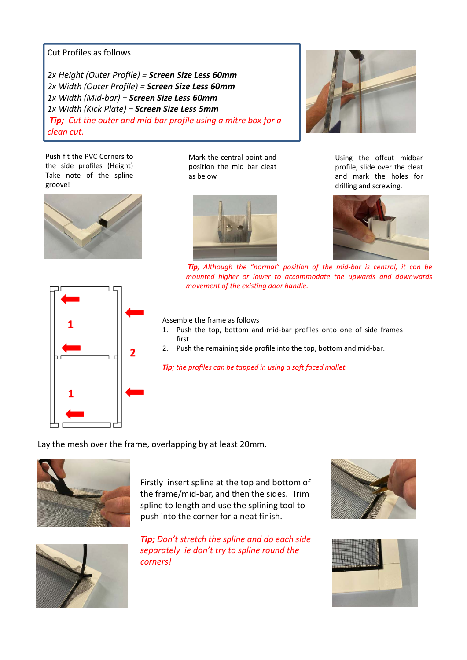## Cut Profiles as follows

*2x Height (Outer Profile) = Screen Size Less 60mm 2x Width (Outer Profile) = Screen Size Less 60mm 1x Width (Mid-bar) = Screen Size Less 60mm 1x Width (Kick Plate) = Screen Size Less 5mm Tip; Cut the outer and mid-bar profile using a mitre box for a clean cut.* 

Push fit the PVC Corners to the side profiles (Height) Take note of the spline groove!



Mark the central point and position the mid bar cleat as below





Using the offcut midbar profile, slide over the cleat and mark the holes for drilling and screwing.



*mounted higher or lower to accommodate the upwards and downwards movement of the existing door handle.*

*Tip; Although the "normal" position of the mid-bar is central, it can be*

Assemble the frame as follows

- 1. Push the top, bottom and mid-bar profiles onto one of side frames first.
- 2. Push the remaining side profile into the top, bottom and mid-bar.

*Tip; the profiles can be tapped in using a soft faced mallet.*

Lay the mesh over the frame, overlapping by at least 20mm.



Firstly insert spline at the top and bottom of the frame/mid-bar, and then the sides. Trim spline to length and use the splining tool to push into the corner for a neat finish.



*Tip; Don't stretch the spline and do each side separately ie don't try to spline round the corners!*